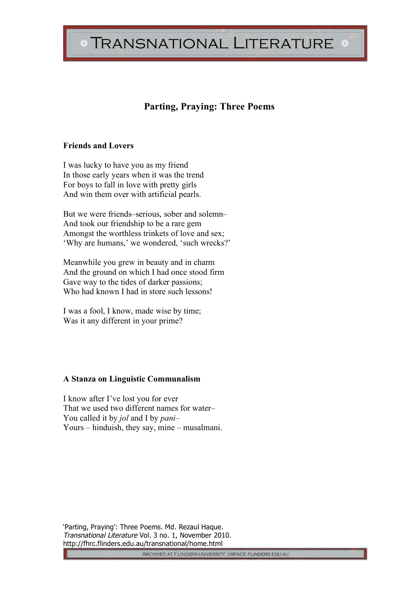# TRANSNATIONAL LITERATURE \*

## **Parting, Praying: Three Poems**

#### **Friends and Lovers**

I was lucky to have you as my friend In those early years when it was the trend For boys to fall in love with pretty girls And win them over with artificial pearls.

But we were friends–serious, sober and solemn– And took our friendship to be a rare gem Amongst the worthless trinkets of love and sex; 'Why are humans,' we wondered, 'such wrecks?'

Meanwhile you grew in beauty and in charm And the ground on which I had once stood firm Gave way to the tides of darker passions; Who had known I had in store such lessons!

I was a fool, I know, made wise by time; Was it any different in your prime?

#### **A Stanza on Linguistic Communalism**

I know after I've lost you for ever That we used two different names for water– You called it by *jol* and I by *pani*– Yours – hinduish, they say, mine – musalmani.

'Parting, Praying': Three Poems. Md. Rezaul Haque. Transnational Literature Vol. 3 no. 1, November 2010. http://fhrc.flinders.edu.au/transnational/home.html

ARCHIVED AT FLINDERS UNIVERSITY: DSPACE.FLINDERS.EDU.AU